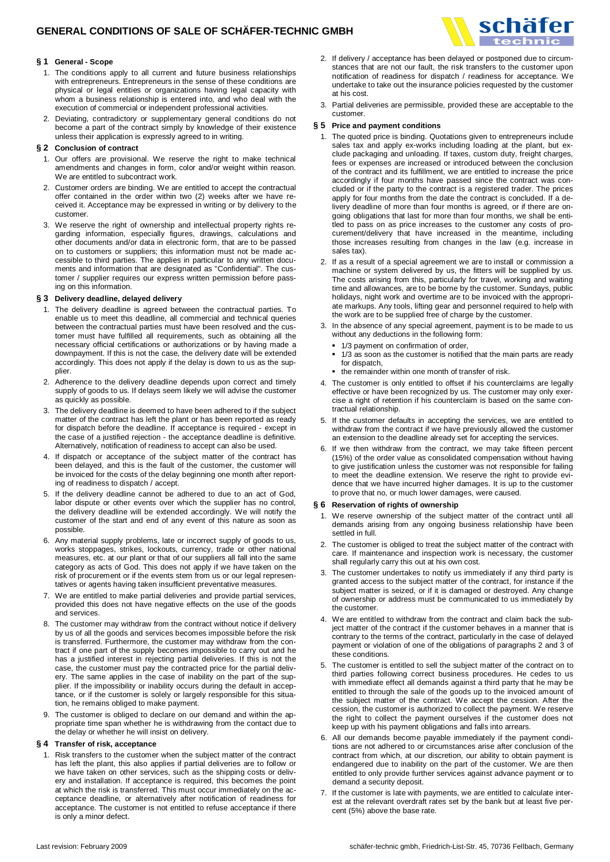

- 1. The conditions apply to all current and future business relationships with entrepreneurs. Entrepreneurs in the sense of these conditions are physical or legal entities or organizations having legal capacity with whom a business relationship is entered into, and who deal with the execution of commercial or independent professional activities.
- 2. Deviating, contradictory or supplementary general conditions do not become a part of the contract simply by knowledge of their existence unless their application is expressly agreed to in writing.

### **§ 2 Conclusion of contract**

- 1. Our offers are provisional. We reserve the right to make technical amendments and changes in form, color and/or weight within reason. We are entitled to subcontract work.
- 2. Customer orders are binding. We are entitled to accept the contractual offer contained in the order within two (2) weeks after we have received it. Acceptance may be expressed in writing or by delivery to the customer.
- 3. We reserve the right of ownership and intellectual property rights regarding information, especially figures, drawings, calculations and other documents and/or data in electronic form, that are to be passed on to customers or suppliers; this information must not be made accessible to third parties. The applies in particular to any written documents and information that are designated as "Confidential". The customer / supplier requires our express written permission before passing on this information.

#### **§ 3 Delivery deadline, delayed delivery**

- 1. The delivery deadline is agreed between the contractual parties. To enable us to meet this deadline, all commercial and technical queries between the contractual parties must have been resolved and the customer must have fulfilled all requirements, such as obtaining all the necessary official certifications or authorizations or by having made a downpayment. If this is not the case, the delivery date will be extended accordingly. This does not apply if the delay is down to us as the supplier.
- 2. Adherence to the delivery deadline depends upon correct and timely supply of goods to us. If delays seem likely we will advise the customer as quickly as possible.
- 3. The delivery deadline is deemed to have been adhered to if the subject matter of the contract has left the plant or has been reported as ready for dispatch before the deadline. If acceptance is required - except in the case of a justified rejection - the acceptance deadline is definitive. Alternatively, notification of readiness to accept can also be used.
- 4. If dispatch or acceptance of the subject matter of the contract has been delayed, and this is the fault of the customer, the customer will be invoiced for the costs of the delay beginning one month after reporting of readiness to dispatch / accept.
- 5. If the delivery deadline cannot be adhered to due to an act of God, labor dispute or other events over which the supplier has no control, the delivery deadline will be extended accordingly. We will notify the customer of the start and end of any event of this nature as soon as possible.
- 6. Any material supply problems, late or incorrect supply of goods to us, works stoppages, strikes, lockouts, currency, trade or other national measures, etc. at our plant or that of our suppliers all fall into the same category as acts of God. This does not apply if we have taken on the risk of procurement or if the events stem from us or our legal representatives or agents having taken insufficient preventative measures.
- 7. We are entitled to make partial deliveries and provide partial services, provided this does not have negative effects on the use of the goods and services.
- 8. The customer may withdraw from the contract without notice if delivery by us of all the goods and services becomes impossible before the risk is transferred. Furthermore, the customer may withdraw from the contract if one part of the supply becomes impossible to carry out and he has a justified interest in rejecting partial deliveries. If this is not the case, the customer must pay the contracted price for the partial delivery. The same applies in the case of inability on the part of the supplier. If the impossibility or inability occurs during the default in acceptance, or if the customer is solely or largely responsible for this situation, he remains obliged to make payment.
- 9. The customer is obliged to declare on our demand and within the appropriate time span whether he is withdrawing from the contact due to the delay or whether he will insist on delivery.

# **§ 4 Transfer of risk, acceptance**

1. Risk transfers to the customer when the subject matter of the contract has left the plant, this also applies if partial deliveries are to follow or we have taken on other services, such as the shipping costs or delivery and installation. If acceptance is required, this becomes the point at which the risk is transferred. This must occur immediately on the acceptance deadline, or alternatively after notification of readiness for acceptance. The customer is not entitled to refuse acceptance if there is only a minor defect.

2. If delivery / acceptance has been delayed or postponed due to circumstances that are not our fault, the risk transfers to the customer upon notification of readiness for dispatch / readiness for acceptance. We undertake to take out the insurance policies requested by the customer at his cost.

schäfer

3. Partial deliveries are permissible, provided these are acceptable to the customer.

#### **§ 5 Price and payment conditions**

- 1. The quoted price is binding. Quotations given to entrepreneurs include sales tax and apply ex-works including loading at the plant, but exclude packaging and unloading. If taxes, custom duty, freight charges, fees or expenses are increased or introduced between the conclusion of the contract and its fulfillment, we are entitled to increase the price accordingly if four months have passed since the contract was concluded or if the party to the contract is a registered trader. The prices apply for four months from the date the contract is concluded. If a delivery deadline of more than four months is agreed, or if there are ongoing obligations that last for more than four months, we shall be entitled to pass on as price increases to the customer any costs of procurement/delivery that have increased in the meantime, including those increases resulting from changes in the law (e.g. increase in sales tax).
- 2. If as a result of a special agreement we are to install or commission a machine or system delivered by us, the fitters will be supplied by us. The costs arising from this, particularly for travel, working and waiting time and allowances, are to be borne by the customer. Sundays, public holidays, night work and overtime are to be invoiced with the appropriate markups. Any tools, lifting gear and personnel required to help with the work are to be supplied free of charge by the customer.
- 3. In the absence of any special agreement, payment is to be made to us without any deductions in the following form:
	- <sup>•</sup> 1/3 payment on confirmation of order.
	- 1/3 as soon as the customer is notified that the main parts are ready for dispatch,
	- the remainder within one month of transfer of risk.
- 4. The customer is only entitled to offset if his counterclaims are legally effective or have been recognized by us. The customer may only exercise a right of retention if his counterclaim is based on the same contractual relationship.
- 5. If the customer defaults in accepting the services, we are entitled to withdraw from the contract if we have previously allowed the customer an extension to the deadline already set for accepting the services.
- 6. If we then withdraw from the contract, we may take fifteen percent (15%) of the order value as consolidated compensation without having to give justification unless the customer was not responsible for failing to meet the deadline extension. We reserve the right to provide evidence that we have incurred higher damages. It is up to the customer to prove that no, or much lower damages, were caused.

#### **§ 6 Reservation of rights of ownership**

- 1. We reserve ownership of the subject matter of the contract until all demands arising from any ongoing business relationship have been settled in full.
- 2. The customer is obliged to treat the subject matter of the contract with care. If maintenance and inspection work is necessary, the customer shall regularly carry this out at his own cost.
- 3. The customer undertakes to notify us immediately if any third party is granted access to the subject matter of the contract, for instance if the subject matter is seized, or if it is damaged or destroyed. Any change of ownership or address must be communicated to us immediately by the customer.
- 4. We are entitled to withdraw from the contract and claim back the subject matter of the contract if the customer behaves in a manner that is contrary to the terms of the contract, particularly in the case of delayed payment or violation of one of the obligations of paragraphs 2 and 3 of these conditions.
- 5. The customer is entitled to sell the subject matter of the contract on to third parties following correct business procedures. He cedes to us with immediate effect all demands against a third party that he may be entitled to through the sale of the goods up to the invoiced amount of the subject matter of the contract. We accept the cession. After the cession, the customer is authorized to collect the payment. We reserve the right to collect the payment ourselves if the customer does not keep up with his payment obligations and falls into arrears.
- 6. All our demands become payable immediately if the payment conditions are not adhered to or circumstances arise after conclusion of the contract from which, at our discretion, our ability to obtain payment is endangered due to inability on the part of the customer. We are then entitled to only provide further services against advance payment or to demand a security deposit.
- 7. If the customer is late with payments, we are entitled to calculate interest at the relevant overdraft rates set by the bank but at least five percent (5%) above the base rate.